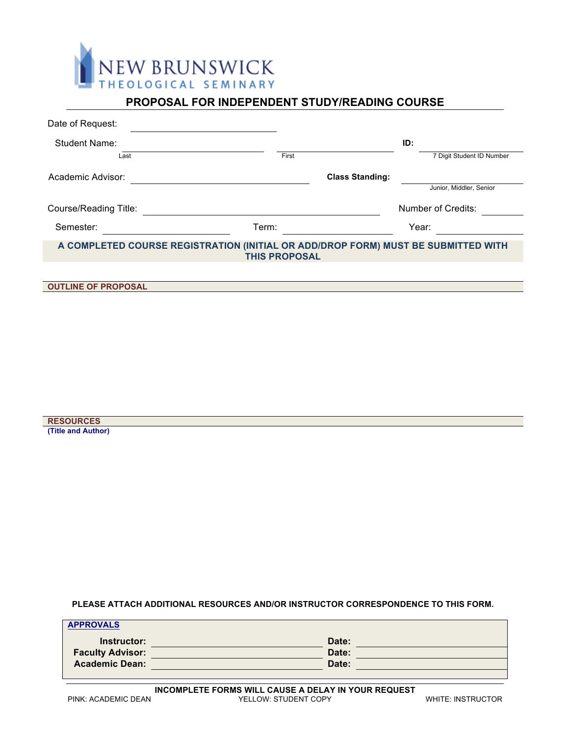

# **PROPOSAL FOR INDEPENDENT STUDY/READING COURSE**

| Date of Request:                                                                                          |       |                           |  |
|-----------------------------------------------------------------------------------------------------------|-------|---------------------------|--|
| <b>Student Name:</b>                                                                                      |       | ID:                       |  |
| Last                                                                                                      | First | 7 Digit Student ID Number |  |
| Academic Advisor:                                                                                         |       | <b>Class Standing:</b>    |  |
|                                                                                                           |       | Junior, Middler, Senior   |  |
| Course/Reading Title:                                                                                     |       | Number of Credits:        |  |
| Semester:                                                                                                 | Term: | Year:                     |  |
| A COMPLETED COURSE REGISTRATION (INITIAL OR ADD/DROP FORM) MUST BE SUBMITTED WITH<br><b>THIS PROPOSAL</b> |       |                           |  |
|                                                                                                           |       |                           |  |
| <b>OUTLINE OF PROPOSAL</b>                                                                                |       |                           |  |

**RESOURCES (Title and Author)**

**PLEASE ATTACH ADDITIONAL RESOURCES AND/OR INSTRUCTOR CORRESPONDENCE TO THIS FORM.**

| <b>APPROVALS</b>        |       |  |
|-------------------------|-------|--|
| Instructor:             | Date: |  |
| <b>Faculty Advisor:</b> | Date: |  |
| <b>Academic Dean:</b>   | Date: |  |
|                         |       |  |